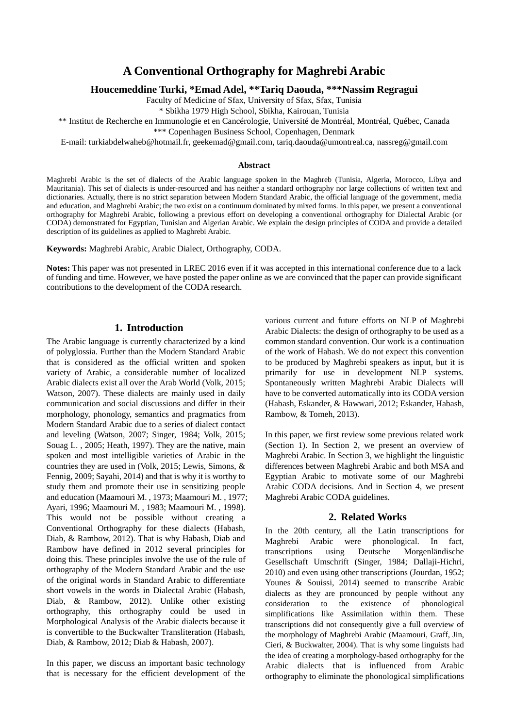# **A Conventional Orthography for Maghrebi Arabic**

**Houcemeddine Turki, \*Emad Adel, \*\*Tariq Daouda, \*\*\*Nassim Regragui**

Faculty of Medicine of Sfax, University of Sfax, Sfax, Tunisia

\* Sbikha 1979 High School, Sbikha, Kairouan, Tunisia

\*\* Institut de Recherche en Immunologie et en Cancérologie, Université de Montréal, Montréal, Québec, Canada \*\*\* Copenhagen Business School, Copenhagen, Denmark

E-mail: turkiabdelwaheb@hotmail.fr, geekemad@gmail.com, tariq.daouda@umontreal.ca, nassreg@gmail.com

#### **Abstract**

Maghrebi Arabic is the set of dialects of the Arabic language spoken in the Maghreb (Tunisia, Algeria, Morocco, Libya and Mauritania). This set of dialects is under-resourced and has neither a standard orthography nor large collections of written text and dictionaries. Actually, there is no strict separation between Modern Standard Arabic, the official language of the government, media and education, and Maghrebi Arabic; the two exist on a continuum dominated by mixed forms. In this paper, we present a conventional orthography for Maghrebi Arabic, following a previous effort on developing a conventional orthography for Dialectal Arabic (or CODA) demonstrated for Egyptian, Tunisian and Algerian Arabic. We explain the design principles of CODA and provide a detailed description of its guidelines as applied to Maghrebi Arabic.

**Keywords:** Maghrebi Arabic, Arabic Dialect, Orthography, CODA.

**Notes:** This paper was not presented in LREC 2016 even if it was accepted in this international conference due to a lack of funding and time. However, we have posted the paper online as we are convinced that the paper can provide significant contributions to the development of the CODA research.

### **1. Introduction**

The Arabic language is currently characterized by a kind of polyglossia. Further than the Modern Standard Arabic that is considered as the official written and spoken variety of Arabic, a considerable number of localized Arabic dialects exist all over the Arab World (Volk, 2015; Watson, 2007). These dialects are mainly used in daily communication and social discussions and differ in their morphology, phonology, semantics and pragmatics from Modern Standard Arabic due to a series of dialect contact and leveling (Watson, 2007; Singer, 1984; Volk, 2015; Souag L. , 2005; Heath, 1997). They are the native, main spoken and most intelligible varieties of Arabic in the countries they are used in (Volk, 2015; Lewis, Simons, & Fennig, 2009; Sayahi, 2014) and that is why it is worthy to study them and promote their use in sensitizing people and education (Maamouri M. , 1973; Maamouri M. , 1977; Ayari, 1996; Maamouri M. , 1983; Maamouri M. , 1998). This would not be possible without creating a Conventional Orthography for these dialects (Habash, Diab, & Rambow, 2012). That is why Habash, Diab and Rambow have defined in 2012 several principles for doing this. These principles involve the use of the rule of orthography of the Modern Standard Arabic and the use of the original words in Standard Arabic to differentiate short vowels in the words in Dialectal Arabic (Habash, Diab, & Rambow, 2012). Unlike other existing orthography, this orthography could be used in Morphological Analysis of the Arabic dialects because it is convertible to the Buckwalter Transliteration (Habash, Diab, & Rambow, 2012; Diab & Habash, 2007).

In this paper, we discuss an important basic technology that is necessary for the efficient development of the

various current and future efforts on NLP of Maghrebi Arabic Dialects: the design of orthography to be used as a common standard convention. Our work is a continuation of the work of Habash. We do not expect this convention to be produced by Maghrebi speakers as input, but it is primarily for use in development NLP systems. Spontaneously written Maghrebi Arabic Dialects will have to be converted automatically into its CODA version (Habash, Eskander, & Hawwari, 2012; Eskander, Habash, Rambow, & Tomeh, 2013).

In this paper, we first review some previous related work (Section 1). In Section 2, we present an overview of Maghrebi Arabic. In Section 3, we highlight the linguistic differences between Maghrebi Arabic and both MSA and Egyptian Arabic to motivate some of our Maghrebi Arabic CODA decisions. And in Section 4, we present Maghrebi Arabic CODA guidelines.

#### **2. Related Works**

In the 20th century, all the Latin transcriptions for Maghrebi Arabic were phonological. In fact, transcriptions using Deutsche Morgenländische Gesellschaft Umschrift (Singer, 1984; Dallaji-Hichri, 2010) and even using other transcriptions (Jourdan, 1952; Younes & Souissi, 2014) seemed to transcribe Arabic dialects as they are pronounced by people without any consideration to the existence of phonological simplifications like Assimilation within them. These transcriptions did not consequently give a full overview of the morphology of Maghrebi Arabic (Maamouri, Graff, Jin, Cieri, & Buckwalter, 2004). That is why some linguists had the idea of creating a morphology-based orthography for the Arabic dialects that is influenced from Arabic orthography to eliminate the phonological simplifications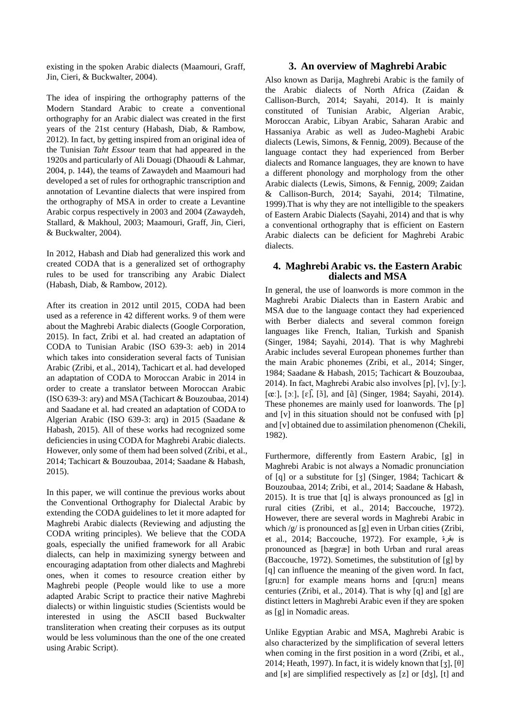existing in the spoken Arabic dialects (Maamouri, Graff, Jin, Cieri, & Buckwalter, 2004).

The idea of inspiring the orthography patterns of the Modern Standard Arabic to create a conventional orthography for an Arabic dialect was created in the first years of the 21st century (Habash, Diab, & Rambow, 2012). In fact, by getting inspired from an original idea of the Tunisian *Taht Essour* team that had appeared in the 1920s and particularly of Ali Douagi (Dhaoudi & Lahmar, 2004, p. 144), the teams of Zawaydeh and Maamouri had developed a set of rules for orthographic transcription and annotation of Levantine dialects that were inspired from the orthography of MSA in order to create a Levantine Arabic corpus respectively in 2003 and 2004 (Zawaydeh, Stallard, & Makhoul, 2003; Maamouri, Graff, Jin, Cieri, & Buckwalter, 2004).

In 2012, Habash and Diab had generalized this work and created CODA that is a generalized set of orthography rules to be used for transcribing any Arabic Dialect (Habash, Diab, & Rambow, 2012).

After its creation in 2012 until 2015, CODA had been used as a reference in 42 different works. 9 of them were about the Maghrebi Arabic dialects (Google Corporation, 2015). In fact, Zribi et al. had created an adaptation of CODA to Tunisian Arabic (ISO 639-3: aeb) in 2014 which takes into consideration several facts of Tunisian Arabic (Zribi, et al., 2014), Tachicart et al. had developed an adaptation of CODA to Moroccan Arabic in 2014 in order to create a translator between Moroccan Arabic (ISO 639-3: ary) and MSA (Tachicart & Bouzoubaa, 2014) and Saadane et al. had created an adaptation of CODA to Algerian Arabic (ISO 639-3: arq) in 2015 (Saadane & Habash, 2015). All of these works had recognized some deficiencies in using CODA for Maghrebi Arabic dialects. However, only some of them had been solved (Zribi, et al., 2014; Tachicart & Bouzoubaa, 2014; Saadane & Habash, 2015).

In this paper, we will continue the previous works about the Conventional Orthography for Dialectal Arabic by extending the CODA guidelines to let it more adapted for Maghrebi Arabic dialects (Reviewing and adjusting the CODA writing principles). We believe that the CODA goals, especially the unified framework for all Arabic dialects, can help in maximizing synergy between and encouraging adaptation from other dialects and Maghrebi ones, when it comes to resource creation either by Maghrebi people (People would like to use a more adapted Arabic Script to practice their native Maghrebi dialects) or within linguistic studies (Scientists would be interested in using the ASCII based Buckwalter transliteration when creating their corpuses as its output would be less voluminous than the one of the one created using Arabic Script).

#### **3. An overview of Maghrebi Arabic**

Also known as Darija, Maghrebi Arabic is the family of the Arabic dialects of North Africa (Zaidan & Callison-Burch, 2014; Sayahi, 2014). It is mainly constituted of Tunisian Arabic, Algerian Arabic, Moroccan Arabic, Libyan Arabic, Saharan Arabic and Hassaniya Arabic as well as Judeo-Maghebi Arabic dialects (Lewis, Simons, & Fennig, 2009). Because of the language contact they had experienced from Berber dialects and Romance languages, they are known to have a different phonology and morphology from the other Arabic dialects (Lewis, Simons, & Fennig, 2009; Zaidan & Callison-Burch, 2014; Sayahi, 2014; Tilmatine, 1999).That is why they are not intelligible to the speakers of Eastern Arabic Dialects (Sayahi, 2014) and that is why a conventional orthography that is efficient on Eastern Arabic dialects can be deficient for Maghrebi Arabic dialects.

### **4. Maghrebi Arabic vs. the Eastern Arabic dialects and MSA**

In general, the use of loanwords is more common in the Maghrebi Arabic Dialects than in Eastern Arabic and MSA due to the language contact they had experienced with Berber dialects and several common foreign languages like French, Italian, Turkish and Spanish (Singer, 1984; Sayahi, 2014). That is why Maghrebi Arabic includes several European phonemes further than the main Arabic phonemes (Zribi, et al., 2014; Singer, 1984; Saadane & Habash, 2015; Tachicart & Bouzoubaa, 2014). In fact, Maghrebi Arabic also involves [p], [v], [yː], [œː], [ɔː], [ɛ],̃[ɔ̃ ], and [ɑ̃ ] (Singer, 1984; Sayahi, 2014). These phonemes are mainly used for loanwords. The [p] and [v] in this situation should not be confused with [p] and [v] obtained due to assimilation phenomenon (Chekili, 1982).

Furthermore, differently from Eastern Arabic, [g] in Maghrebi Arabic is not always a Nomadic pronunciation of [q] or a substitute for [ʒ] (Singer, 1984; Tachicart & Bouzoubaa, 2014; Zribi, et al., 2014; Saadane & Habash, 2015). It is true that [q] is always pronounced as [g] in rural cities (Zribi, et al., 2014; Baccouche, 1972). However, there are several words in Maghrebi Arabic in which /g/ is pronounced as [g] even in Urban cities (Zribi, et al., 2014; Baccouche, 1972). For example, بقرة is pronounced as [bægræ] in both Urban and rural areas (Baccouche, 1972). Sometimes, the substitution of [g] by [q] can influence the meaning of the given word. In fact, [gru:n] for example means horns and [qru:n] means centuries (Zribi, et al., 2014). That is why [q] and [g] are distinct letters in Maghrebi Arabic even if they are spoken as [g] in Nomadic areas.

Unlike Egyptian Arabic and MSA, Maghrebi Arabic is also characterized by the simplification of several letters when coming in the first position in a word (Zribi, et al., 2014; Heath, 1997). In fact, it is widely known that [ $\mathfrak{z}$ ], [ $\theta$ ] and [ʁ] are simplified respectively as [z] or [dʒ], [t] and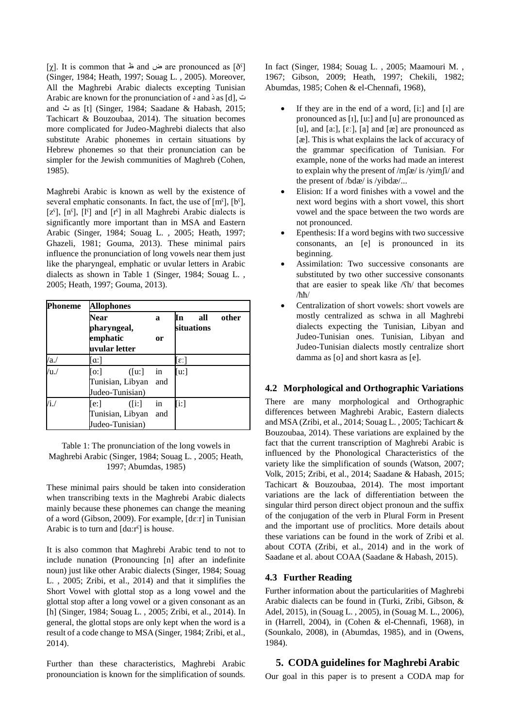$[\chi]$ . It is common that  $\cong$  and  $\cong$  are pronounced as  $[\delta^{\varsigma}]$ (Singer, 1984; Heath, 1997; Souag L. , 2005). Moreover, All the Maghrebi Arabic dialects excepting Tunisian Arabic are known for the pronunciation of د and ذ as [d], ت and ث as [t] (Singer, 1984; Saadane & Habash, 2015; Tachicart & Bouzoubaa, 2014). The situation becomes more complicated for Judeo-Maghrebi dialects that also substitute Arabic phonemes in certain situations by Hebrew phonemes so that their pronunciation can be simpler for the Jewish communities of Maghreb (Cohen, 1985).

Maghrebi Arabic is known as well by the existence of several emphatic consonants. In fact, the use of  $[m<sup>5</sup>], [b<sup>5</sup>],$  $[z<sup>s</sup>], [n<sup>s</sup>], [l<sup>s</sup>]$  and  $[r<sup>s</sup>]$  in all Maghrebi Arabic dialects is significantly more important than in MSA and Eastern Arabic (Singer, 1984; Souag L. , 2005; Heath, 1997; Ghazeli, 1981; Gouma, 2013). These minimal pairs influence the pronunciation of long vowels near them just like the pharyngeal, emphatic or uvular letters in Arabic dialects as shown in Table 1 (Singer, 1984; Souag L. , 2005; Heath, 1997; Gouma, 2013).

| <b>Phoneme</b> | Allophones             |           |                    |  |
|----------------|------------------------|-----------|--------------------|--|
|                | Near                   | a         | other<br>ľп<br>all |  |
|                | pharyngeal,            |           | situations         |  |
|                | emphatic               | <b>or</b> |                    |  |
|                | uvular letter          |           |                    |  |
| /a.            | $\lceil \alpha \rceil$ |           | [ε:]               |  |
| /u.            | [0:]<br>([u:]          | in        | [u:]               |  |
|                | Tunisian, Libyan       | and       |                    |  |
|                | Judeo-Tunisian)        |           |                    |  |
| $/i$ ./        | [e:]<br>([i:]          | in        | [i:]               |  |
|                | Tunisian, Libyan       | and       |                    |  |
|                | Judeo-Tunisian)        |           |                    |  |

Table 1: The pronunciation of the long vowels in Maghrebi Arabic (Singer, 1984; Souag L. , 2005; Heath, 1997; Abumdas, 1985)

These minimal pairs should be taken into consideration when transcribing texts in the Maghrebi Arabic dialects mainly because these phonemes can change the meaning of a word (Gibson, 2009). For example, [dɛːr] in Tunisian Arabic is to turn and [dɑ:rˤ] is house.

It is also common that Maghrebi Arabic tend to not to include nunation (Pronouncing [n] after an indefinite noun) just like other Arabic dialects (Singer, 1984; Souag L. , 2005; Zribi, et al., 2014) and that it simplifies the Short Vowel with glottal stop as a long vowel and the glottal stop after a long vowel or a given consonant as an [h] (Singer, 1984; Souag L. , 2005; Zribi, et al., 2014). In general, the glottal stops are only kept when the word is a result of a code change to MSA (Singer, 1984; Zribi, et al., 2014).

Further than these characteristics, Maghrebi Arabic pronounciation is known for the simplification of sounds. In fact (Singer, 1984; Souag L. , 2005; Maamouri M. , 1967; Gibson, 2009; Heath, 1997; Chekili, 1982; Abumdas, 1985; Cohen & el-Chennafi, 1968),

- If they are in the end of a word, [i:] and [ɪ] are pronounced as [ɪ], [u:] and [u] are pronounced as [u], and [a:],  $[\varepsilon]$ , [a] and  $[\varepsilon]$  are pronounced as [æ]. This is what explains the lack of accuracy of the grammar specification of Tunisian. For example, none of the works had made an interest to explain why the present of /mʃæ/ is /yimʃi/ and the present of /bdæ/ is /yibdæ/...
- Elision: If a word finishes with a vowel and the next word begins with a short vowel, this short vowel and the space between the two words are not pronounced.
- Epenthesis: If a word begins with two successive consonants, an [e] is pronounced in its beginning.
- Assimilation: Two successive consonants are substituted by two other successive consonants that are easier to speak like /ʕh/ that becomes /ħħ/
- Centralization of short vowels: short vowels are mostly centralized as schwa in all Maghrebi dialects expecting the Tunisian, Libyan and Judeo-Tunisian ones. Tunisian, Libyan and Judeo-Tunisian dialects mostly centralize short damma as [o] and short kasra as [e].

## **4.2 Morphological and Orthographic Variations**

There are many morphological and Orthographic differences between Maghrebi Arabic, Eastern dialects and MSA (Zribi, et al., 2014; Souag L. , 2005; Tachicart & Bouzoubaa, 2014). These variations are explained by the fact that the current transcription of Maghrebi Arabic is influenced by the Phonological Characteristics of the variety like the simplification of sounds (Watson, 2007; Volk, 2015; Zribi, et al., 2014; Saadane & Habash, 2015; Tachicart & Bouzoubaa, 2014). The most important variations are the lack of differentiation between the singular third person direct object pronoun and the suffix of the conjugation of the verb in Plural Form in Present and the important use of proclitics. More details about these variations can be found in the work of Zribi et al. about COTA (Zribi, et al., 2014) and in the work of Saadane et al. about COAA (Saadane & Habash, 2015).

### **4.3 Further Reading**

Further information about the particularities of Maghrebi Arabic dialects can be found in (Turki, Zribi, Gibson, & Adel, 2015), in (Souag L. , 2005), in (Souag M. L., 2006), in (Harrell, 2004), in (Cohen & el-Chennafi, 1968), in (Sounkalo, 2008), in (Abumdas, 1985), and in (Owens, 1984).

## **5. CODA guidelines for Maghrebi Arabic**

Our goal in this paper is to present a CODA map for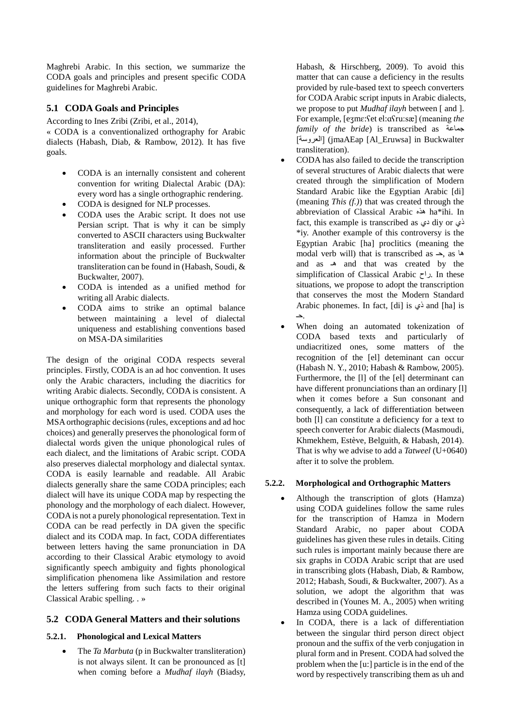Maghrebi Arabic. In this section, we summarize the CODA goals and principles and present specific CODA guidelines for Maghrebi Arabic.

## **5.1 CODA Goals and Principles**

According to Ines Zribi (Zribi, et al., 2014),

« CODA is a conventionalized orthography for Arabic dialects (Habash, Diab, & Rambow, 2012). It has five goals.

- CODA is an internally consistent and coherent convention for writing Dialectal Arabic (DA): every word has a single orthographic rendering.
- CODA is designed for NLP processes.
- CODA uses the Arabic script. It does not use Persian script. That is why it can be simply converted to ASCII characters using Buckwalter transliteration and easily processed. Further information about the principle of Buckwalter transliteration can be found in (Habash, Soudi, & Buckwalter, 2007).
- CODA is intended as a unified method for writing all Arabic dialects.
- CODA aims to strike an optimal balance between maintaining a level of dialectal uniqueness and establishing conventions based on MSA-DA similarities

The design of the original CODA respects several principles. Firstly, CODA is an ad hoc convention. It uses only the Arabic characters, including the diacritics for writing Arabic dialects. Secondly, CODA is consistent. A unique orthographic form that represents the phonology and morphology for each word is used. CODA uses the MSA orthographic decisions (rules, exceptions and ad hoc choices) and generally preserves the phonological form of dialectal words given the unique phonological rules of each dialect, and the limitations of Arabic script. CODA also preserves dialectal morphology and dialectal syntax. CODA is easily learnable and readable. All Arabic dialects generally share the same CODA principles; each dialect will have its unique CODA map by respecting the phonology and the morphology of each dialect. However, CODA is not a purely phonological representation. Text in CODA can be read perfectly in DA given the specific dialect and its CODA map. In fact, CODA differentiates between letters having the same pronunciation in DA according to their Classical Arabic etymology to avoid significantly speech ambiguity and fights phonological simplification phenomena like Assimilation and restore the letters suffering from such facts to their original Classical Arabic spelling. . »

## **5.2 CODA General Matters and their solutions**

### **5.2.1. Phonological and Lexical Matters**

 The *Ta Marbuta* (p in Buckwalter transliteration) is not always silent. It can be pronounced as [t] when coming before a *Mudhaf ilayh* (Biadsy,

Habash, & Hirschberg, 2009). To avoid this matter that can cause a deficiency in the results provided by rule-based text to speech converters for CODA Arabic script inputs in Arabic dialects, we propose to put *Mudhaf ilayh* between [ and ]. For example, [eʒmɛ:ʕet el:ɑʕru:sæ] (meaning *the family of the bride*) is transcribed as جماعة ]العروسة) ]jmaAEap [Al\_Eruwsa] in Buckwalter transliteration).

- CODA has also failed to decide the transcription of several structures of Arabic dialects that were created through the simplification of Modern Standard Arabic like the Egyptian Arabic [di] (meaning *This (f.)*) that was created through the abbreviation of Classical Arabic هذه ha\*ihi. In fact, this example is transcribed as دي diy or ذي \*iy. Another example of this controversy is the Egyptian Arabic [ha] proclitics (meaning the modal verb will) that is transcribed as  $\rightarrow$ , as  $\infty$ and as هـ and that was created by the simplification of Classical Arabic راح. In these situations, we propose to adopt the transcription that conserves the most the Modern Standard Arabic phonemes. In fact, [di] is ذي and [ha] is .حـ
- When doing an automated tokenization of CODA based texts and particularly of undiacritized ones, some matters of the recognition of the [el] deteminant can occur (Habash N. Y., 2010; Habash & Rambow, 2005). Furthermore, the [l] of the [el] determinant can have different pronunciations than an ordinary [l] when it comes before a Sun consonant and consequently, a lack of differentiation between both [l] can constitute a deficiency for a text to speech converter for Arabic dialects (Masmoudi, Khmekhem, Estève, Belguith, & Habash, 2014). That is why we advise to add a *Tatweel* (U+0640) after it to solve the problem.

### **5.2.2. Morphological and Orthographic Matters**

- Although the transcription of glots (Hamza) using CODA guidelines follow the same rules for the transcription of Hamza in Modern Standard Arabic, no paper about CODA guidelines has given these rules in details. Citing such rules is important mainly because there are six graphs in CODA Arabic script that are used in transcribing glots (Habash, Diab, & Rambow, 2012; Habash, Soudi, & Buckwalter, 2007). As a solution, we adopt the algorithm that was described in (Younes M. A., 2005) when writing Hamza using CODA guidelines.
- In CODA, there is a lack of differentiation between the singular third person direct object pronoun and the suffix of the verb conjugation in plural form and in Present. CODA had solved the problem when the [u:] particle is in the end of the word by respectively transcribing them as uh and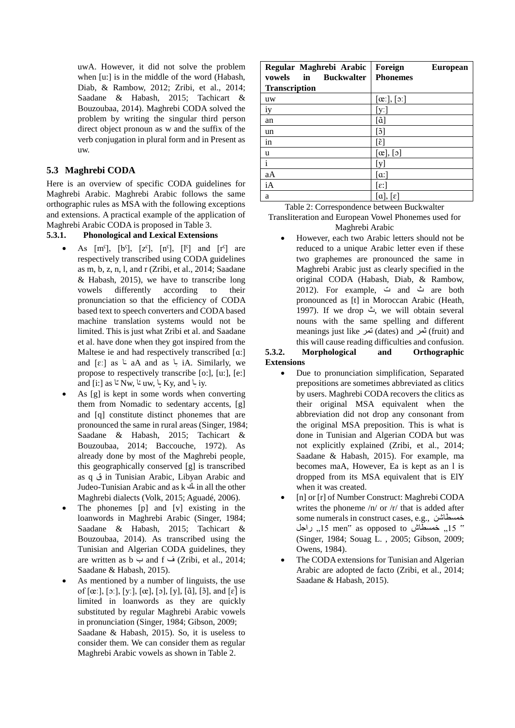uwA. However, it did not solve the problem when [u:] is in the middle of the word (Habash, Diab, & Rambow, 2012; Zribi, et al., 2014; Saadane & Habash, 2015; Tachicart & Bouzoubaa, 2014). Maghrebi CODA solved the problem by writing the singular third person direct object pronoun as w and the suffix of the verb conjugation in plural form and in Present as uw.

## **5.3 Maghrebi CODA**

Here is an overview of specific CODA guidelines for Maghrebi Arabic. Maghrebi Arabic follows the same orthographic rules as MSA with the following exceptions and extensions. A practical example of the application of Maghrebi Arabic CODA is proposed in Table 3.

### **5.3.1. Phonological and Lexical Extensions**

- As  $[m<sup>s</sup>], [b<sup>s</sup>], [z<sup>s</sup>], [n<sup>s</sup>], [l<sup>s</sup>] and [r<sup>s</sup>] are$ respectively transcribed using CODA guidelines as m, b, z, n, l, and r (Zribi, et al., 2014; Saadane & Habash, 2015), we have to transcribe long vowels differently according to their pronunciation so that the efficiency of CODA based text to speech converters and CODA based machine translation systems would not be limited. This is just what Zribi et al. and Saadane et al. have done when they got inspired from the Maltese ie and had respectively transcribed [a:] and  $[\varepsilon]$  as  $\leq$  aA and as  $\leq$  iA. Similarly, we **∶** propose to respectively transcribe [o:], [u:], [e:] and [i:] as  $L^*$  Nw,  $L^*$  uw,  $L^*$  Ky, and  $L^*$  iy.
- As [g] is kept in some words when converting them from Nomadic to sedentary accents, [g] and [q] constitute distinct phonemes that are pronounced the same in rural areas (Singer, 1984; Saadane & Habash, 2015; Tachicart & Bouzoubaa, 2014; Baccouche, 1972). As already done by most of the Maghrebi people, this geographically conserved [g] is transcribed as q ق in Tunisian Arabic, Libyan Arabic and Judeo-Tunisian Arabic and as  $k \triangleq$  in all the other Maghrebi dialects (Volk, 2015; Aguadé, 2006).
- The phonemes [p] and [v] existing in the loanwords in Maghrebi Arabic (Singer, 1984; Saadane & Habash, 2015; Tachicart & Bouzoubaa, 2014). As transcribed using the Tunisian and Algerian CODA guidelines, they are written as  $b \rightarrow$  and  $f \rightarrow Zribi$ , et al., 2014; Saadane & Habash, 2015).
- As mentioned by a number of linguists, the use of [œː], [ɔː], [yː], [œ], [ɔ], [y], [ɑ̃], [ɔ̃], and [ɛ̃] is limited in loanwords as they are quickly substituted by regular Maghrebi Arabic vowels in pronunciation (Singer, 1984; Gibson, 2009; Saadane & Habash, 2015). So, it is useless to consider them. We can consider them as regular Maghrebi Arabic vowels as shown in Table 2.

| Regular Maghrebi Arabic<br>vowels<br><b>Buckwalter</b><br>in | Foreign<br><b>European</b><br><b>Phonemes</b>  |
|--------------------------------------------------------------|------------------------------------------------|
| <b>Transcription</b>                                         |                                                |
| uw                                                           | $[\alpha$ :], $[\circ]$                        |
| iy                                                           | [vː]                                           |
| an                                                           | $[\tilde{a}]$                                  |
| un                                                           | [õ]                                            |
| in                                                           | $\left\lceil \tilde{\varepsilon} \right\rceil$ |
| u                                                            | $[\alpha], [\mathfrak{z}]$                     |
| $\mathbf{i}$                                                 | [y]                                            |
| aA                                                           | $\lceil \alpha \rceil$                         |
| iA                                                           | $[\epsilon:$                                   |
| a                                                            | $[a]$ ,<br>lεl                                 |

Table 2: Correspondence between Buckwalter

Transliteration and European Vowel Phonemes used for Maghrebi Arabic

 However, each two Arabic letters should not be reduced to a unique Arabic letter even if these two graphemes are pronounced the same in Maghrebi Arabic just as clearly specified in the original CODA (Habash, Diab, & Rambow, 2012). For example, ت and ث are both pronounced as [t] in Moroccan Arabic (Heath, 1997). If we drop ث, we will obtain several nouns with the same spelling and different meanings just like تمر) dates) and ثمر) fruit) and this will cause reading difficulties and confusion.

#### **5.3.2. Morphological and Orthographic Extensions**

- Due to pronunciation simplification, Separated prepositions are sometimes abbreviated as clitics by users. Maghrebi CODA recovers the clitics as their original MSA equivalent when the abbreviation did not drop any consonant from the original MSA preposition. This is what is done in Tunisian and Algerian CODA but was not explicitly explained (Zribi, et al., 2014; Saadane & Habash, 2015). For example, ma becomes maA, However, Ea is kept as an l is dropped from its MSA equivalent that is ElY when it was created.
- [n] or [r] of Number Construct: Maghrebi CODA writes the phoneme /n/ or /r/ that is added after some numerals in construct cases, e.g., خمسطاشن داجل 15 men" as opposed to خمسطاش  $15$  " (Singer, 1984; Souag L. , 2005; Gibson, 2009; Owens, 1984).
- The CODA extensions for Tunisian and Algerian Arabic are adopted de facto (Zribi, et al., 2014; Saadane & Habash, 2015).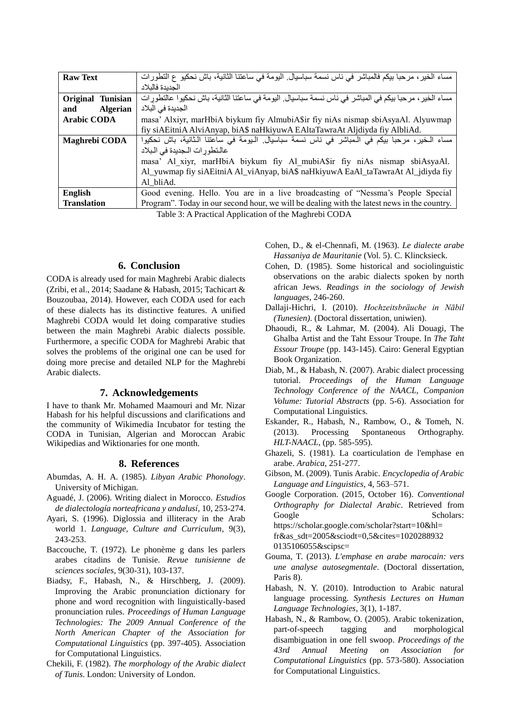| <b>Raw Text</b>        | مساء الخير ، مرحبا بيكم فالمباشر في ناس نسمة سباسيال ِ اليومة في ساعتنا الثانية، باش نحكيو ع التطورات   |
|------------------------|---------------------------------------------------------------------------------------------------------|
|                        | الحديدة فالبلاد                                                                                         |
| Original Tunisian      | مساء الخير ، مرحبا بيكم في المباشر في ناس نسمة سباسيال. اليومة في ساعتنا الثانية، باش نحكيوا عالنطور ات |
| <b>Algerian</b><br>and | الجديدة في البلاد                                                                                       |
| <b>Arabic CODA</b>     | masa' Alxiyr, marHbiA biykum fiy AlmubiA\$ir fiy niAs nismap sbiAsyaAl. Alyuwmap                        |
|                        | fiy siAEitniA AlviAnyap, biA\$ naHkiyuwA EAltaTawraAt Aljdiyda fiy AlbliAd.                             |
| Maghrebi CODA          | مساء الخير، مرحبا بيكم في المباشر في ناس نسمة سباسيال. اليومة في ساعتنا الثانية، باش نحكيوا             |
|                        | عالنطورات الجديدة في البلاد                                                                             |
|                        | masa' Al xiyr, marHbiA biykum fiy Al mubiA\$ir fiy niAs nismap sbiAsyaAl.                               |
|                        | Al_yuwmap fiy siAEitniA Al_viAnyap, biA\$ naHkiyuwA EaAl_taTawraAt Al_jdiyda fiy                        |
|                        | Al bliAd.                                                                                               |
| <b>English</b>         | Good evening. Hello. You are in a live broadcasting of "Nessma's People Special                         |
| <b>Translation</b>     | Program". Today in our second hour, we will be dealing with the latest news in the country.             |
|                        | $\mathbb{R}$ in the $\mathbb{R}$ in the $\mathbb{R}$ in the $\mathbb{R}$                                |

Table 3: A Practical Application of the Maghrebi CODA

### **6. Conclusion**

CODA is already used for main Maghrebi Arabic dialects (Zribi, et al., 2014; Saadane & Habash, 2015; Tachicart & Bouzoubaa, 2014). However, each CODA used for each of these dialects has its distinctive features. A unified Maghrebi CODA would let doing comparative studies between the main Maghrebi Arabic dialects possible. Furthermore, a specific CODA for Maghrebi Arabic that solves the problems of the original one can be used for doing more precise and detailed NLP for the Maghrebi Arabic dialects.

### **7. Acknowledgements**

I have to thank Mr. Mohamed Maamouri and Mr. Nizar Habash for his helpful discussions and clarifications and the community of Wikimedia Incubator for testing the CODA in Tunisian, Algerian and Moroccan Arabic Wikipedias and Wiktionaries for one month.

#### **8. References**

- Abumdas, A. H. A. (1985). *Libyan Arabic Phonology*. University of Michigan.
- Aguadé, J. (2006). Writing dialect in Morocco. *Estudios de dialectología norteafricana y andalusí*, 10, 253-274.
- Ayari, S. (1996). Diglossia and illiteracy in the Arab world 1. *Language, Culture and Curriculum*, 9(3), 243-253.
- Baccouche, T. (1972). Le phonème g dans les parlers arabes citadins de Tunisie. *Revue tunisienne de sciences sociales*, 9(30-31), 103-137.
- Biadsy, F., Habash, N., & Hirschberg, J. (2009). Improving the Arabic pronunciation dictionary for phone and word recognition with linguistically-based pronunciation rules. *Proceedings of Human Language Technologies: The 2009 Annual Conference of the North American Chapter of the Association for Computational Linguistics* (pp. 397-405). Association for Computational Linguistics.
- Chekili, F. (1982). *The morphology of the Arabic dialect of Tunis*. London: University of London.

Cohen, D., & el-Chennafi, M. (1963). *Le dialecte arabe Hassaniya de Mauritanie* (Vol. 5). C. Klincksieck.

- Cohen, D. (1985). Some historical and sociolinguistic observations on the arabic dialects spoken by north african Jews. *Readings in the sociology of Jewish languages*, 246-260.
- Dallaji-Hichri, I. (2010). *Hochzeitsbräuche in Nābil (Tunesien)*. (Doctoral dissertation, uniwien).
- Dhaoudi, R., & Lahmar, M. (2004). Ali Douagi, The Ghalba Artist and the Taht Essour Troupe. In *The Taht Essour Troupe* (pp. 143-145). Cairo: General Egyptian Book Organization.
- Diab, M., & Habash, N. (2007). Arabic dialect processing tutorial. *Proceedings of the Human Language Technology Conference of the NAACL, Companion Volume: Tutorial Abstracts* (pp. 5-6). Association for Computational Linguistics.
- Eskander, R., Habash, N., Rambow, O., & Tomeh, N. (2013). Processing Spontaneous Orthography. *HLT-NAACL*, (pp. 585-595).
- Ghazeli, S. (1981). La coarticulation de l'emphase en arabe. *Arabica*, 251-277.
- Gibson, M. (2009). Tunis Arabic. *Encyclopedia of Arabic Language and Linguistics*, 4, 563–571.
- Google Corporation. (2015, October 16). *Conventional Orthography for Dialectal Arabic*. Retrieved from Google Scholars: https://scholar.google.com/scholar?start=10&hl= fr&as\_sdt=2005&sciodt=0,5&cites=1020288932 0135106055&scipsc=
- Gouma, T. (2013). *L'emphase en arabe marocain: vers une analyse autosegmentale*. (Doctoral dissertation, Paris 8).
- Habash, N. Y. (2010). Introduction to Arabic natural language processing. *Synthesis Lectures on Human Language Technologies*, 3(1), 1-187.
- Habash, N., & Rambow, O. (2005). Arabic tokenization, part-of-speech tagging and morphological disambiguation in one fell swoop. *Proceedings of the 43rd Annual Meeting on Association for Computational Linguistics* (pp. 573-580). Association for Computational Linguistics.